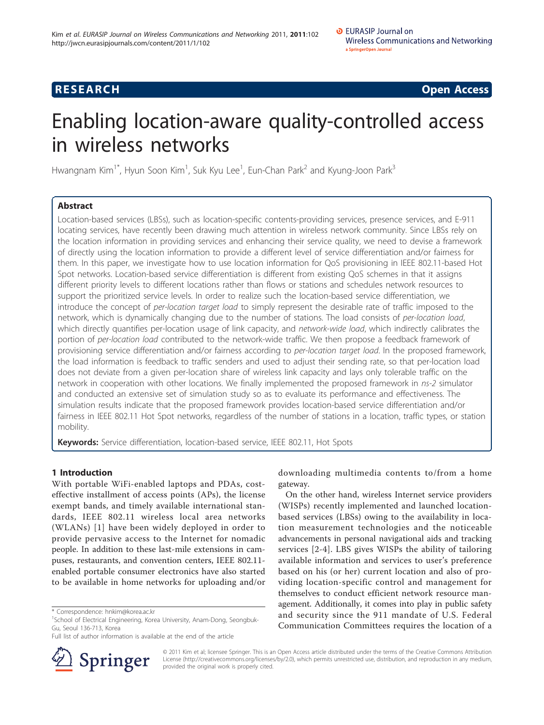**RESEARCH CONSTRUCTION CONSTRUCTS** 

# Enabling location-aware quality-controlled access in wireless networks

Hwangnam Kim<sup>1\*</sup>, Hyun Soon Kim<sup>1</sup>, Suk Kyu Lee<sup>1</sup>, Eun-Chan Park<sup>2</sup> and Kyung-Joon Park<sup>3</sup>

# Abstract

Location-based services (LBSs), such as location-specific contents-providing services, presence services, and E-911 locating services, have recently been drawing much attention in wireless network community. Since LBSs rely on the location information in providing services and enhancing their service quality, we need to devise a framework of directly using the location information to provide a different level of service differentiation and/or fairness for them. In this paper, we investigate how to use location information for QoS provisioning in IEEE 802.11-based Hot Spot networks. Location-based service differentiation is different from existing QoS schemes in that it assigns different priority levels to different locations rather than flows or stations and schedules network resources to support the prioritized service levels. In order to realize such the location-based service differentiation, we introduce the concept of per-location target load to simply represent the desirable rate of traffic imposed to the network, which is dynamically changing due to the number of stations. The load consists of per-location load, which directly quantifies per-location usage of link capacity, and network-wide load, which indirectly calibrates the portion of per-location load contributed to the network-wide traffic. We then propose a feedback framework of provisioning service differentiation and/or fairness according to per-location target load. In the proposed framework, the load information is feedback to traffic senders and used to adjust their sending rate, so that per-location load does not deviate from a given per-location share of wireless link capacity and lays only tolerable traffic on the network in cooperation with other locations. We finally implemented the proposed framework in ns-2 simulator and conducted an extensive set of simulation study so as to evaluate its performance and effectiveness. The simulation results indicate that the proposed framework provides location-based service differentiation and/or fairness in IEEE 802.11 Hot Spot networks, regardless of the number of stations in a location, traffic types, or station mobility.

Keywords: Service differentiation, location-based service, IEEE 802.11, Hot Spots

# 1 Introduction

With portable WiFi-enabled laptops and PDAs, costeffective installment of access points (APs), the license exempt bands, and timely available international standards, IEEE 802.11 wireless local area networks (WLANs) [[1\]](#page-17-0) have been widely deployed in order to provide pervasive access to the Internet for nomadic people. In addition to these last-mile extensions in campuses, restaurants, and convention centers, IEEE 802.11 enabled portable consumer electronics have also started to be available in home networks for uploading and/or

Full list of author information is available at the end of the article



downloading multimedia contents to/from a home gateway.

On the other hand, wireless Internet service providers (WISPs) recently implemented and launched locationbased services (LBSs) owing to the availability in location measurement technologies and the noticeable advancements in personal navigational aids and tracking services [[2-4\]](#page-17-0). LBS gives WISPs the ability of tailoring available information and services to user's preference based on his (or her) current location and also of providing location-specific control and management for themselves to conduct efficient network resource management. Additionally, it comes into play in public safety and security since the 911 mandate of U.S. Federal Communication Committees requires the location of a

© 2011 Kim et al; licensee Springer. This is an Open Access article distributed under the terms of the Creative Commons Attribution License [\(http://creativecommons.org/licenses/by/2.0](http://creativecommons.org/licenses/by/2.0)), which permits unrestricted use, distribution, and reproduction in any medium, provided the original work is properly cited.

<sup>\*</sup> Correspondence: [hnkim@korea.ac.kr](mailto:hnkim@korea.ac.kr)

<sup>&</sup>lt;sup>1</sup>School of Electrical Engineering, Korea University, Anam-Dong, Seongbuk-Gu, Seoul 136-713, Korea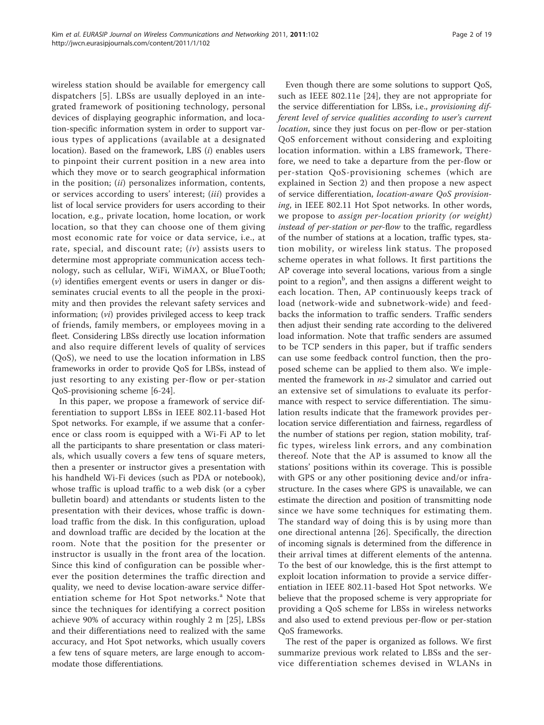wireless station should be available for emergency call dispatchers [\[5\]](#page-17-0). LBSs are usually deployed in an integrated framework of positioning technology, personal devices of displaying geographic information, and location-specific information system in order to support various types of applications (available at a designated location). Based on the framework, LBS (i) enables users to pinpoint their current position in a new area into which they move or to search geographical information in the position; (ii) personalizes information, contents, or services according to users' interest; (iii) provides a list of local service providers for users according to their location, e.g., private location, home location, or work location, so that they can choose one of them giving most economic rate for voice or data service, i.e., at rate, special, and discount rate;  $(i\nu)$  assists users to determine most appropriate communication access technology, such as cellular, WiFi, WiMAX, or BlueTooth;  $(v)$  identifies emergent events or users in danger or disseminates crucial events to all the people in the proximity and then provides the relevant safety services and information; (vi) provides privileged access to keep track of friends, family members, or employees moving in a fleet. Considering LBSs directly use location information and also require different levels of quality of services (QoS), we need to use the location information in LBS frameworks in order to provide QoS for LBSs, instead of just resorting to any existing per-flow or per-station QoS-provisioning scheme [\[6](#page-17-0)-[24](#page-18-0)].

In this paper, we propose a framework of service differentiation to support LBSs in IEEE 802.11-based Hot Spot networks. For example, if we assume that a conference or class room is equipped with a Wi-Fi AP to let all the participants to share presentation or class materials, which usually covers a few tens of square meters, then a presenter or instructor gives a presentation with his handheld Wi-Fi devices (such as PDA or notebook), whose traffic is upload traffic to a web disk (or a cyber bulletin board) and attendants or students listen to the presentation with their devices, whose traffic is download traffic from the disk. In this configuration, upload and download traffic are decided by the location at the room. Note that the position for the presenter or instructor is usually in the front area of the location. Since this kind of configuration can be possible wherever the position determines the traffic direction and quality, we need to devise location-aware service differentiation scheme for Hot Spot networks.<sup>a</sup> Note that since the techniques for identifying a correct position achieve 90% of accuracy within roughly 2 m [[25](#page-18-0)], LBSs and their differentiations need to realized with the same accuracy, and Hot Spot networks, which usually covers a few tens of square meters, are large enough to accommodate those differentiations.

Even though there are some solutions to support QoS, such as IEEE 802.11e [\[24](#page-18-0)], they are not appropriate for the service differentiation for LBSs, i.e., provisioning different level of service qualities according to user's current location, since they just focus on per-flow or per-station QoS enforcement without considering and exploiting location information. within a LBS framework, Therefore, we need to take a departure from the per-flow or per-station QoS-provisioning schemes (which are explained in Section 2) and then propose a new aspect of service differentiation, location-aware QoS provisioning, in IEEE 802.11 Hot Spot networks. In other words, we propose to assign per-location priority (or weight) instead of per-station or per-flow to the traffic, regardless of the number of stations at a location, traffic types, station mobility, or wireless link status. The proposed scheme operates in what follows. It first partitions the AP coverage into several locations, various from a single point to a region<sup>b</sup>, and then assigns a different weight to each location. Then, AP continuously keeps track of load (network-wide and subnetwork-wide) and feedbacks the information to traffic senders. Traffic senders then adjust their sending rate according to the delivered load information. Note that traffic senders are assumed to be TCP senders in this paper, but if traffic senders can use some feedback control function, then the proposed scheme can be applied to them also. We implemented the framework in  $ns-2$  simulator and carried out an extensive set of simulations to evaluate its performance with respect to service differentiation. The simulation results indicate that the framework provides perlocation service differentiation and fairness, regardless of the number of stations per region, station mobility, traffic types, wireless link errors, and any combination thereof. Note that the AP is assumed to know all the stations' positions within its coverage. This is possible with GPS or any other positioning device and/or infrastructure. In the cases where GPS is unavailable, we can estimate the direction and position of transmitting node since we have some techniques for estimating them. The standard way of doing this is by using more than one directional antenna [\[26](#page-18-0)]. Specifically, the direction of incoming signals is determined from the difference in their arrival times at different elements of the antenna. To the best of our knowledge, this is the first attempt to exploit location information to provide a service differentiation in IEEE 802.11-based Hot Spot networks. We believe that the proposed scheme is very appropriate for providing a QoS scheme for LBSs in wireless networks and also used to extend previous per-flow or per-station QoS frameworks.

The rest of the paper is organized as follows. We first summarize previous work related to LBSs and the service differentiation schemes devised in WLANs in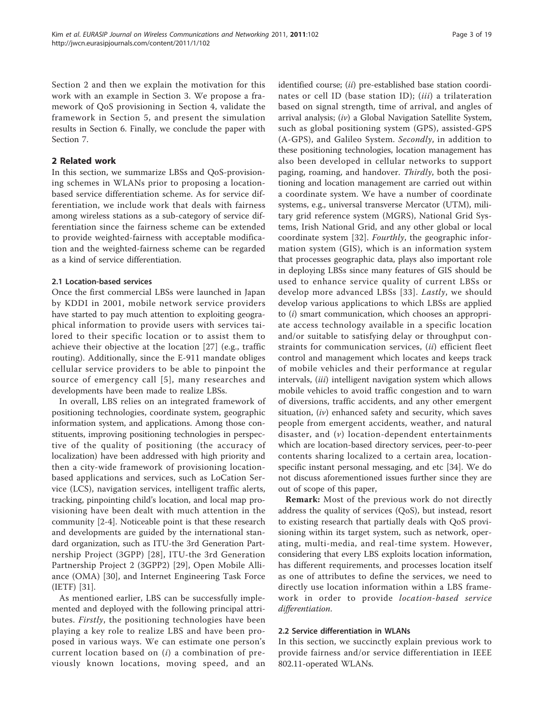Section 2 and then we explain the motivation for this work with an example in Section 3. We propose a framework of QoS provisioning in Section 4, validate the framework in Section 5, and present the simulation results in Section 6. Finally, we conclude the paper with Section 7.

# 2 Related work

In this section, we summarize LBSs and QoS-provisioning schemes in WLANs prior to proposing a locationbased service differentiation scheme. As for service differentiation, we include work that deals with fairness among wireless stations as a sub-category of service differentiation since the fairness scheme can be extended to provide weighted-fairness with acceptable modification and the weighted-fairness scheme can be regarded as a kind of service differentiation.

# 2.1 Location-based services

Once the first commercial LBSs were launched in Japan by KDDI in 2001, mobile network service providers have started to pay much attention to exploiting geographical information to provide users with services tailored to their specific location or to assist them to achieve their objective at the location [\[27](#page-18-0)] (e.g., traffic routing). Additionally, since the E-911 mandate obliges cellular service providers to be able to pinpoint the source of emergency call [[5\]](#page-17-0), many researches and developments have been made to realize LBSs.

In overall, LBS relies on an integrated framework of positioning technologies, coordinate system, geographic information system, and applications. Among those constituents, improving positioning technologies in perspective of the quality of positioning (the accuracy of localization) have been addressed with high priority and then a city-wide framework of provisioning locationbased applications and services, such as LoCation Service (LCS), navigation services, intelligent traffic alerts, tracking, pinpointing child's location, and local map provisioning have been dealt with much attention in the community [[2-4](#page-17-0)]. Noticeable point is that these research and developments are guided by the international standard organization, such as ITU-the 3rd Generation Partnership Project (3GPP) [[28\]](#page-18-0), ITU-the 3rd Generation Partnership Project 2 (3GPP2) [[29\]](#page-18-0), Open Mobile Alliance (OMA) [\[30](#page-18-0)], and Internet Engineering Task Force (IETF) [[31](#page-18-0)].

As mentioned earlier, LBS can be successfully implemented and deployed with the following principal attributes. Firstly, the positioning technologies have been playing a key role to realize LBS and have been proposed in various ways. We can estimate one person's current location based on  $(i)$  a combination of previously known locations, moving speed, and an identified course; (ii) pre-established base station coordinates or cell ID (base station ID); (iii) a trilateration based on signal strength, time of arrival, and angles of arrival analysis;  $(iv)$  a Global Navigation Satellite System, such as global positioning system (GPS), assisted-GPS (A-GPS), and Galileo System. Secondly, in addition to these positioning technologies, location management has also been developed in cellular networks to support paging, roaming, and handover. Thirdly, both the positioning and location management are carried out within a coordinate system. We have a number of coordinate systems, e.g., universal transverse Mercator (UTM), military grid reference system (MGRS), National Grid Systems, Irish National Grid, and any other global or local coordinate system [\[32](#page-18-0)]. Fourthly, the geographic information system (GIS), which is an information system that processes geographic data, plays also important role in deploying LBSs since many features of GIS should be used to enhance service quality of current LBSs or develop more advanced LBSs [\[33\]](#page-18-0). Lastly, we should develop various applications to which LBSs are applied to (i) smart communication, which chooses an appropriate access technology available in a specific location and/or suitable to satisfying delay or throughput constraints for communication services, *(ii)* efficient fleet control and management which locates and keeps track of mobile vehicles and their performance at regular intervals, (iii) intelligent navigation system which allows mobile vehicles to avoid traffic congestion and to warn of diversions, traffic accidents, and any other emergent situation,  $(iv)$  enhanced safety and security, which saves people from emergent accidents, weather, and natural disaster, and  $(v)$  location-dependent entertainments which are location-based directory services, peer-to-peer contents sharing localized to a certain area, locationspecific instant personal messaging, and etc [\[34\]](#page-18-0). We do not discuss aforementioned issues further since they are out of scope of this paper,

Remark: Most of the previous work do not directly address the quality of services (QoS), but instead, resort to existing research that partially deals with QoS provisioning within its target system, such as network, operating, multi-media, and real-time system. However, considering that every LBS exploits location information, has different requirements, and processes location itself as one of attributes to define the services, we need to directly use location information within a LBS framework in order to provide location-based service differentiation.

#### 2.2 Service differentiation in WLANs

In this section, we succinctly explain previous work to provide fairness and/or service differentiation in IEEE 802.11-operated WLANs.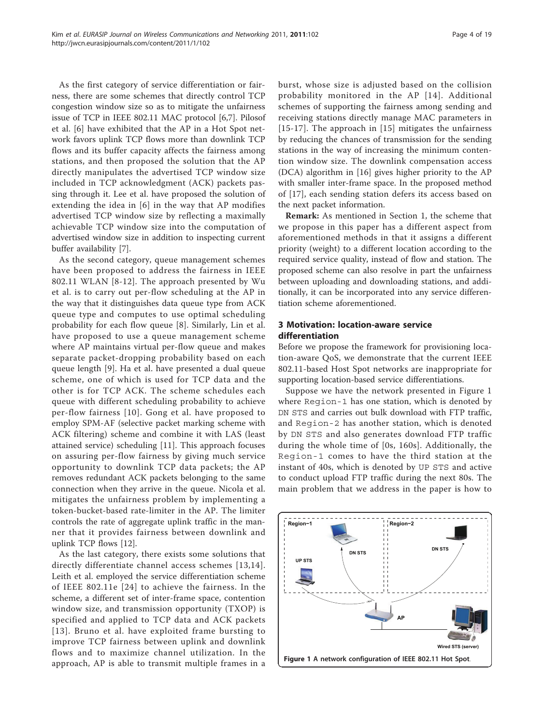<span id="page-3-0"></span>As the first category of service differentiation or fairness, there are some schemes that directly control TCP congestion window size so as to mitigate the unfairness issue of TCP in IEEE 802.11 MAC protocol [[6,7\]](#page-17-0). Pilosof et al. [[6](#page-17-0)] have exhibited that the AP in a Hot Spot network favors uplink TCP flows more than downlink TCP flows and its buffer capacity affects the fairness among stations, and then proposed the solution that the AP directly manipulates the advertised TCP window size included in TCP acknowledgment (ACK) packets passing through it. Lee et al. have proposed the solution of extending the idea in [[6](#page-17-0)] in the way that AP modifies advertised TCP window size by reflecting a maximally achievable TCP window size into the computation of advertised window size in addition to inspecting current buffer availability [\[7](#page-17-0)].

As the second category, queue management schemes have been proposed to address the fairness in IEEE 802.11 WLAN [\[8-12\]](#page-17-0). The approach presented by Wu et al. is to carry out per-flow scheduling at the AP in the way that it distinguishes data queue type from ACK queue type and computes to use optimal scheduling probability for each flow queue [[8](#page-17-0)]. Similarly, Lin et al. have proposed to use a queue management scheme where AP maintains virtual per-flow queue and makes separate packet-dropping probability based on each queue length [[9\]](#page-17-0). Ha et al. have presented a dual queue scheme, one of which is used for TCP data and the other is for TCP ACK. The scheme schedules each queue with different scheduling probability to achieve per-flow fairness [[10\]](#page-17-0). Gong et al. have proposed to employ SPM-AF (selective packet marking scheme with ACK filtering) scheme and combine it with LAS (least attained service) scheduling [[11\]](#page-17-0). This approach focuses on assuring per-flow fairness by giving much service opportunity to downlink TCP data packets; the AP removes redundant ACK packets belonging to the same connection when they arrive in the queue. Nicola et al. mitigates the unfairness problem by implementing a token-bucket-based rate-limiter in the AP. The limiter controls the rate of aggregate uplink traffic in the manner that it provides fairness between downlink and uplink TCP flows [\[12\]](#page-17-0).

As the last category, there exists some solutions that directly differentiate channel access schemes [[13](#page-18-0),[14\]](#page-18-0). Leith et al. employed the service differentiation scheme of IEEE 802.11e [[24](#page-18-0)] to achieve the fairness. In the scheme, a different set of inter-frame space, contention window size, and transmission opportunity (TXOP) is specified and applied to TCP data and ACK packets [[13](#page-18-0)]. Bruno et al. have exploited frame bursting to improve TCP fairness between uplink and downlink flows and to maximize channel utilization. In the approach, AP is able to transmit multiple frames in a burst, whose size is adjusted based on the collision probability monitored in the AP [[14](#page-18-0)]. Additional schemes of supporting the fairness among sending and receiving stations directly manage MAC parameters in [[15](#page-18-0)-[17](#page-18-0)]. The approach in [\[15\]](#page-18-0) mitigates the unfairness by reducing the chances of transmission for the sending stations in the way of increasing the minimum contention window size. The downlink compensation access (DCA) algorithm in [[16\]](#page-18-0) gives higher priority to the AP with smaller inter-frame space. In the proposed method of [[17\]](#page-18-0), each sending station defers its access based on the next packet information.

Remark: As mentioned in Section 1, the scheme that we propose in this paper has a different aspect from aforementioned methods in that it assigns a different priority (weight) to a different location according to the required service quality, instead of flow and station. The proposed scheme can also resolve in part the unfairness between uploading and downloading stations, and additionally, it can be incorporated into any service differentiation scheme aforementioned.

# 3 Motivation: location-aware service differentiation

Before we propose the framework for provisioning location-aware QoS, we demonstrate that the current IEEE 802.11-based Host Spot networks are inappropriate for supporting location-based service differentiations.

Suppose we have the network presented in Figure 1 where Region-1 has one station, which is denoted by DN STS and carries out bulk download with FTP traffic, and Region-2 has another station, which is denoted by DN STS and also generates download FTP traffic during the whole time of [0s, 160s]. Additionally, the Region-1 comes to have the third station at the instant of 40s, which is denoted by UP STS and active to conduct upload FTP traffic during the next 80s. The main problem that we address in the paper is how to

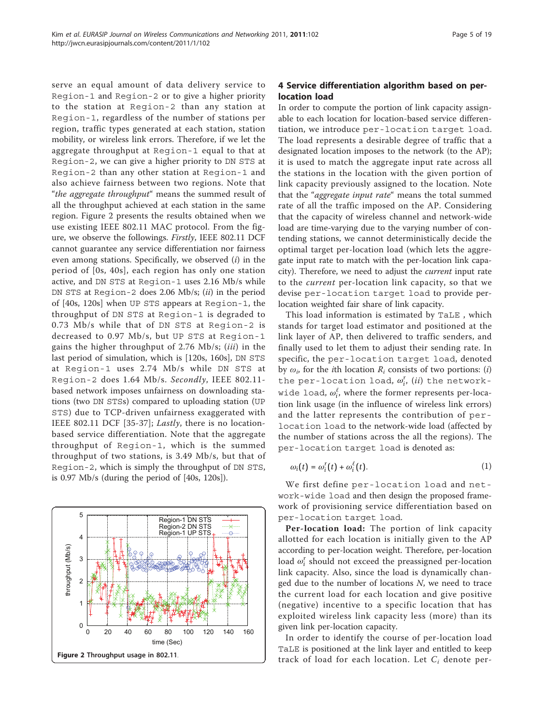<span id="page-4-0"></span>serve an equal amount of data delivery service to Region-1 and Region-2 or to give a higher priority to the station at Region-2 than any station at Region-1, regardless of the number of stations per region, traffic types generated at each station, station mobility, or wireless link errors. Therefore, if we let the aggregate throughput at Region-1 equal to that at Region-2, we can give a higher priority to DN STS at Region-2 than any other station at Region-1 and also achieve fairness between two regions. Note that "the aggregate throughput" means the summed result of all the throughput achieved at each station in the same region. Figure 2 presents the results obtained when we use existing IEEE 802.11 MAC protocol. From the figure, we observe the followings. Firstly, IEEE 802.11 DCF cannot guarantee any service differentiation nor fairness even among stations. Specifically, we observed  $(i)$  in the period of [0s, 40s], each region has only one station active, and DN STS at Region-1 uses 2.16 Mb/s while DN STS at Region-2 does 2.06 Mb/s; (ii) in the period of [40s, 120s] when UP STS appears at Region-1, the throughput of DN STS at Region-1 is degraded to 0.73 Mb/s while that of DN STS at Region-2 is decreased to 0.97 Mb/s, but UP STS at Region-1 gains the higher throughput of 2.76 Mb/s; (iii) in the last period of simulation, which is [120s, 160s], DN STS at Region-1 uses 2.74 Mb/s while DN STS at Region-2 does 1.64 Mb/s. Secondly, IEEE 802.11 based network imposes unfairness on downloading stations (two DN STSs) compared to uploading station (UP STS) due to TCP-driven unfairness exaggerated with IEEE 802.11 DCF [\[35-37](#page-18-0)]; Lastly, there is no locationbased service differentiation. Note that the aggregate throughput of Region-1, which is the summed throughput of two stations, is 3.49 Mb/s, but that of Region-2, which is simply the throughput of DN STS, is 0.97 Mb/s (during the period of [40s, 120s]).



# 4 Service differentiation algorithm based on perlocation load

In order to compute the portion of link capacity assignable to each location for location-based service differentiation, we introduce per-location target load. The load represents a desirable degree of traffic that a designated location imposes to the network (to the AP); it is used to match the aggregate input rate across all the stations in the location with the given portion of link capacity previously assigned to the location. Note that the "aggregate input rate" means the total summed rate of all the traffic imposed on the AP. Considering that the capacity of wireless channel and network-wide load are time-varying due to the varying number of contending stations, we cannot deterministically decide the optimal target per-location load (which lets the aggregate input rate to match with the per-location link capacity). Therefore, we need to adjust the current input rate to the current per-location link capacity, so that we devise per-location target load to provide perlocation weighted fair share of link capacity.

This load information is estimated by TaLE , which stands for target load estimator and positioned at the link layer of AP, then delivered to traffic senders, and finally used to let them to adjust their sending rate. In specific, the per-location target load, denoted by  $\omega_i$ , for the *i*th location  $R_i$  consists of two portions: (*i*) the per-location load,  $\omega_i^r$ ,  $(ii)$  the networkwide load,  $\omega_i^{\ell}$ , where the former represents per-location link usage (in the influence of wireless link errors) and the latter represents the contribution of perlocation load to the network-wide load (affected by the number of stations across the all the regions). The per-location target load is denoted as:

$$
\omega_i(t) = \omega_i^r(t) + \omega_i^\ell(t). \tag{1}
$$

We first define per-location load and network-wide load and then design the proposed framework of provisioning service differentiation based on per-location target load.

Per-location load: The portion of link capacity allotted for each location is initially given to the AP according to per-location weight. Therefore, per-location load  $\omega_i^r$  should not exceed the preassigned per-location link capacity. Also, since the load is dynamically changed due to the number of locations  $N$ , we need to trace the current load for each location and give positive (negative) incentive to a specific location that has exploited wireless link capacity less (more) than its given link per-location capacity.

In order to identify the course of per-location load TaLE is positioned at the link layer and entitled to keep track of load for each location. Let  $C_i$  denote per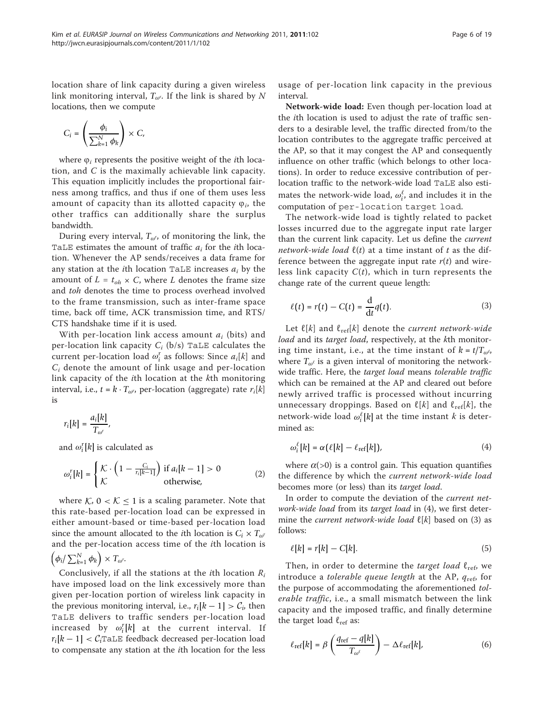location share of link capacity during a given wireless link monitoring interval,  $T_{\omega^r}$ . If the link is shared by N locations, then we compute

$$
C_i = \left(\frac{\phi_i}{\sum_{k=1}^N \phi_k}\right) \times C,
$$

where  $\varphi_i$  represents the positive weight of the *i*th location, and C is the maximally achievable link capacity. This equation implicitly includes the proportional fairness among traffics, and thus if one of them uses less amount of capacity than its allotted capacity  $\varphi_i$ , the other traffics can additionally share the surplus bandwidth.

During every interval,  $T_{\omega^r}$ , of monitoring the link, the TaLE estimates the amount of traffic  $a_i$  for the *i*th location. Whenever the AP sends/receives a data frame for any station at the *i*th location TaLE increases  $a_i$  by the amount of  $L = t_{oh} \times C$ , where L denotes the frame size and toh denotes the time to process overhead involved to the frame transmission, such as inter-frame space time, back off time, ACK transmission time, and RTS/ CTS handshake time if it is used.

With per-location link access amount  $a_i$  (bits) and per-location link capacity  $C_i$  (b/s) TaLE calculates the current per-location load  $\omega_i^r$  as follows: Since  $a_i[k]$  and  $C_i$  denote the amount of link usage and per-location link capacity of the ith location at the kth monitoring interval, i.e.,  $t = k \cdot T_{\omega^r}$ , per-location (aggregate) rate  $r_i[k]$ is

$$
r_i[k] = \frac{a_i[k]}{T_{\omega^r}},
$$

and  $\omega_i^r[k]$  is calculated as

$$
\omega_i^r[k] = \begin{cases} \mathcal{K} \cdot \left(1 - \frac{C_i}{r_i[k-1]}\right) \text{ if } a_i[k-1] > 0\\ \mathcal{K} \qquad \text{otherwise,} \end{cases} \tag{2}
$$

where  $K$ ,  $0 < K \le 1$  is a scaling parameter. Note that this rate-based per-location load can be expressed in either amount-based or time-based per-location load since the amount allocated to the *i*th location is  $C_i \times T_{\omega^r}$ and the per-location access time of the ith location is  $(\phi_i/\sum_{k=1}^N \phi_k) \times T_{\omega^r}.$ 

Conclusively, if all the stations at the *i*th location  $R_i$ have imposed load on the link excessively more than given per-location portion of wireless link capacity in the previous monitoring interval, i.e.,  $r_i[k-1] > C_i$ , then TaLE delivers to traffic senders per-location load increased by  $\omega_i^r[k]$  at the current interval. If  $r_i[k-1] < C_i$ TaLE feedback decreased per-location load to compensate any station at the ith location for the less

usage of per-location link capacity in the previous interval.

Network-wide load: Even though per-location load at the ith location is used to adjust the rate of traffic senders to a desirable level, the traffic directed from/to the location contributes to the aggregate traffic perceived at the AP, so that it may congest the AP and consequently influence on other traffic (which belongs to other locations). In order to reduce excessive contribution of perlocation traffic to the network-wide load TaLE also estimates the network-wide load,  $\omega_i^{\ell}$  and includes it in the computation of per-location target load.

The network-wide load is tightly related to packet losses incurred due to the aggregate input rate larger than the current link capacity. Let us define the *current network-wide load*  $\ell(t)$  at a time instant of t as the difference between the aggregate input rate  $r(t)$  and wireless link capacity  $C(t)$ , which in turn represents the change rate of the current queue length:

$$
\ell(t) = r(t) - C(t) = \frac{d}{dt}q(t).
$$
 (3)

Let  $\ell[k]$  and  $\ell_{\text{ref}}[k]$  denote the *current network-wide* load and its target load, respectively, at the kth monitoring time instant, i.e., at the time instant of  $k = t/T_{\omega}$ , where  $T_{\omega^{\ell}}$  is a given interval of monitoring the networkwide traffic. Here, the target load means tolerable traffic which can be remained at the AP and cleared out before newly arrived traffic is processed without incurring unnecessary droppings. Based on  $\ell[k]$  and  $\ell_{\text{ref}}[k]$ , the network-wide load  $\omega_i^{\ell}[k]$  at the time instant k is determined as:

$$
\omega_i^{\ell}[k] = \alpha(\ell[k] - \ell_{\text{ref}}[k]), \tag{4}
$$

where  $\alpha$ (>0) is a control gain. This equation quantifies the difference by which the current network-wide load becomes more (or less) than its *target load*.

In order to compute the deviation of the current network-wide load from its target load in (4), we first determine the *current network-wide load*  $\ell[k]$  based on (3) as follows:

$$
\ell[k] = r[k] - C[k].\tag{5}
$$

Then, in order to determine the *target load*  $\ell_{\text{ref}}$ , we introduce a *tolerable queue length* at the AP,  $q_{\text{ref}}$ , for the purpose of accommodating the aforementioned tolerable traffic, i.e., a small mismatch between the link capacity and the imposed traffic, and finally determine the target load  $\ell_{\text{ref}}$  as:

$$
\ell_{\rm ref}[k] = \beta \left( \frac{q_{\rm ref} - q[k]}{T_{\omega^{\ell}}} \right) - \Delta \ell_{\rm ref}[k],\tag{6}
$$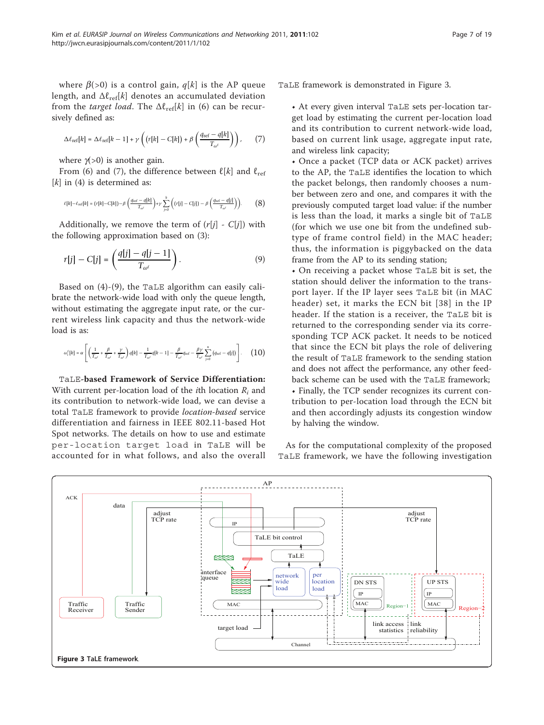where  $\beta(>0)$  is a control gain,  $q[k]$  is the AP queue length, and  $\Delta \ell_{\text{ref}}[k]$  denotes an accumulated deviation from the target load. The  $\Delta \ell_{ref}[k]$  in (6) can be recursively defined as:

$$
\Delta \ell_{\rm ref}[k] = \Delta \ell_{\rm ref}[k-1] + \gamma \left( \left( r[k] - C[k] \right) + \beta \left( \frac{q_{\rm ref} - q[k]}{T_{\omega^{\ell}}} \right) \right), \tag{7}
$$

where  $\gamma$ (>0) is another gain.

From (6) and (7), the difference between  $\ell[k]$  and  $\ell_{\text{ref}}$  $[k]$  in (4) is determined as:

$$
\ell[k] - \ell_{\mathrm{ref}}[k] = (r[k] - C[k]) - \beta \left( \frac{q_{\mathrm{ref}} - q[k]}{T_{\omega^{\ell}}}\right) + \gamma \sum_{j=0}^{k} \left( (r[j] - C[j]) - \beta \left( \frac{q_{\mathrm{ref}} - q[j]}{T_{\omega^{\ell}}}\right) \right). \tag{8}
$$

Additionally, we remove the term of  $(r[j] - C[j])$  with the following approximation based on (3):

$$
r[j] - C[j] = \left(\frac{q[j] - q[j-1]}{T_{\omega^{\ell}}}\right). \tag{9}
$$

Based on  $(4)-(9)$ , the TaLE algorithm can easily calibrate the network-wide load with only the queue length, without estimating the aggregate input rate, or the current wireless link capacity and thus the network-wide load is as:

$$
\omega_i^\varepsilon[k] = \alpha \left[ \left( \frac{1}{T_{\omega^\varepsilon}} + \frac{\beta}{T_{\omega^\varepsilon}} + \frac{\gamma}{T_{\omega^\varepsilon}} \right) q[k] - \frac{1}{T_{\omega^\varepsilon}} q[k-1] - \frac{\beta}{T_{\omega^\varepsilon}} q_\text{ref} - \frac{\beta\gamma}{T_{\omega^\varepsilon}} \sum_{j=0}^n \left( q_\text{ref} - q[j] \right) \right]. \tag{10}
$$

TaLE-based Framework of Service Differentiation: With current per-location load of the *i*th location  $R_i$  and its contribution to network-wide load, we can devise a total TaLE framework to provide location-based service differentiation and fairness in IEEE 802.11-based Hot Spot networks. The details on how to use and estimate per-location target load in TaLE will be accounted for in what follows, and also the overall TaLE framework is demonstrated in Figure 3.

• At every given interval TaLE sets per-location target load by estimating the current per-location load and its contribution to current network-wide load, based on current link usage, aggregate input rate, and wireless link capacity;

• Once a packet (TCP data or ACK packet) arrives to the AP, the TaLE identifies the location to which the packet belongs, then randomly chooses a number between zero and one, and compares it with the previously computed target load value: if the number is less than the load, it marks a single bit of TaLE (for which we use one bit from the undefined subtype of frame control field) in the MAC header; thus, the information is piggybacked on the data frame from the AP to its sending station;

• On receiving a packet whose TaLE bit is set, the station should deliver the information to the transport layer. If the IP layer sees TaLE bit (in MAC header) set, it marks the ECN bit [[38](#page-18-0)] in the IP header. If the station is a receiver, the TaLE bit is returned to the corresponding sender via its corresponding TCP ACK packet. It needs to be noticed that since the ECN bit plays the role of delivering the result of TaLE framework to the sending station and does not affect the performance, any other feedback scheme can be used with the TaLE framework; • Finally, the TCP sender recognizes its current contribution to per-location load through the ECN bit and then accordingly adjusts its congestion window by halving the window.

As for the computational complexity of the proposed TaLE framework, we have the following investigation

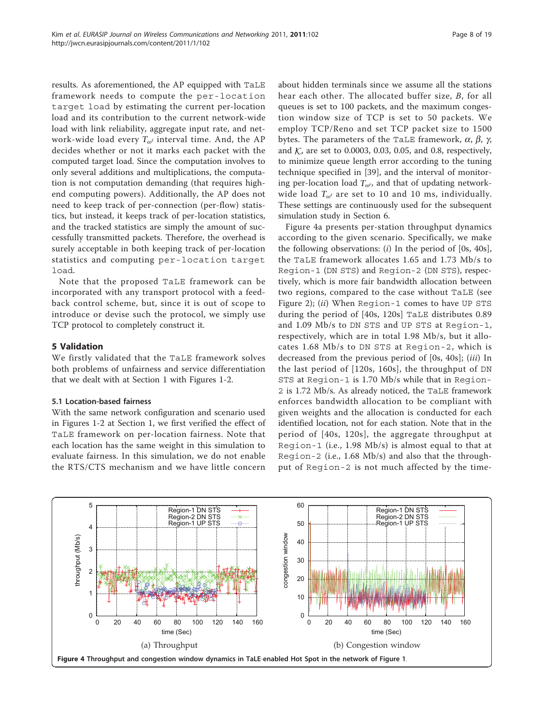<span id="page-7-0"></span>results. As aforementioned, the AP equipped with TaLE framework needs to compute the per-location target load by estimating the current per-location load and its contribution to the current network-wide load with link reliability, aggregate input rate, and network-wide load every  $T_{\omega^{\ell}}$  interval time. And, the AP decides whether or not it marks each packet with the computed target load. Since the computation involves to only several additions and multiplications, the computation is not computation demanding (that requires highend computing powers). Additionally, the AP does not need to keep track of per-connection (per-flow) statistics, but instead, it keeps track of per-location statistics, and the tracked statistics are simply the amount of successfully transmitted packets. Therefore, the overhead is surely acceptable in both keeping track of per-location statistics and computing per-location target load.

Note that the proposed TaLE framework can be incorporated with any transport protocol with a feedback control scheme, but, since it is out of scope to introduce or devise such the protocol, we simply use TCP protocol to completely construct it.

# 5 Validation

We firstly validated that the TaLE framework solves both problems of unfairness and service differentiation that we dealt with at Section 1 with Figures [1](#page-3-0)[-2](#page-4-0).

# 5.1 Location-based fairness

With the same network configuration and scenario used in Figures [1-](#page-3-0)[2](#page-4-0) at Section 1, we first verified the effect of TaLE framework on per-location fairness. Note that each location has the same weight in this simulation to evaluate fairness. In this simulation, we do not enable the RTS/CTS mechanism and we have little concern

about hidden terminals since we assume all the stations hear each other. The allocated buffer size, B, for all queues is set to 100 packets, and the maximum congestion window size of TCP is set to 50 packets. We employ TCP/Reno and set TCP packet size to 1500 bytes. The parameters of the TaLE framework,  $\alpha$ ,  $\beta$ ,  $\gamma$ , and *K*, are set to 0.0003, 0.03, 0.05, and 0.8, respectively, to minimize queue length error according to the tuning technique specified in [\[39](#page-18-0)], and the interval of monitoring per-location load  $T_{\omega}$ <sup>r</sup>, and that of updating networkwide load  $T_{\omega^{\ell}}$  are set to 10 and 10 ms, individually. These settings are continuously used for the subsequent simulation study in Section 6.

Figure 4a presents per-station throughput dynamics according to the given scenario. Specifically, we make the following observations:  $(i)$  In the period of  $[0s, 40s]$ , the TaLE framework allocates 1.65 and 1.73 Mb/s to Region-1 (DN STS) and Region-2 (DN STS), respectively, which is more fair bandwidth allocation between two regions, compared to the case without TaLE (see Figure [2](#page-4-0)); (ii) When Region-1 comes to have UP STS during the period of [40s, 120s] TaLE distributes 0.89 and 1.09 Mb/s to DN STS and UP STS at Region-1, respectively, which are in total 1.98 Mb/s, but it allocates 1.68 Mb/s to DN STS at Region-2, which is decreased from the previous period of [0s, 40s]; (iii) In the last period of [120s, 160s], the throughput of DN STS at Region-1 is 1.70 Mb/s while that in Region-2 is 1.72 Mb/s. As already noticed, the TaLE framework enforces bandwidth allocation to be compliant with given weights and the allocation is conducted for each identified location, not for each station. Note that in the period of [40s, 120s], the aggregate throughput at Region-1 (i.e., 1.98 Mb/s) is almost equal to that at Region-2 (i.e., 1.68 Mb/s) and also that the throughput of Region-2 is not much affected by the time-

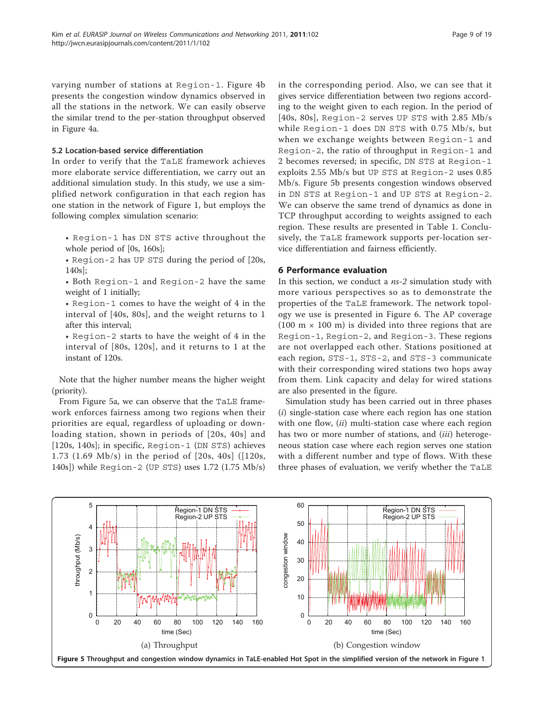varying number of stations at Region-1. Figure [4b](#page-7-0) presents the congestion window dynamics observed in all the stations in the network. We can easily observe the similar trend to the per-station throughput observed in Figure [4a](#page-7-0).

# 5.2 Location-based service differentiation

In order to verify that the TaLE framework achieves more elaborate service differentiation, we carry out an additional simulation study. In this study, we use a simplified network configuration in that each region has one station in the network of Figure [1,](#page-3-0) but employs the following complex simulation scenario:

• Region-1 has DN STS active throughout the whole period of [0s, 160s];

• Region-2 has UP STS during the period of [20s, 140s];

• Both Region-1 and Region-2 have the same weight of 1 initially;

• Region-1 comes to have the weight of 4 in the interval of [40s, 80s], and the weight returns to 1 after this interval;

• Region-2 starts to have the weight of 4 in the interval of [80s, 120s], and it returns to 1 at the instant of 120s.

Note that the higher number means the higher weight (priority).

From Figure 5a, we can observe that the TaLE framework enforces fairness among two regions when their priorities are equal, regardless of uploading or downloading station, shown in periods of [20s, 40s] and [120s, 140s]; in specific, Region-1 (DN STS) achieves 1.73 (1.69 Mb/s) in the period of [20s, 40s] ([120s, 140s]) while Region-2 (UP STS) uses 1.72 (1.75 Mb/s) in the corresponding period. Also, we can see that it gives service differentiation between two regions according to the weight given to each region. In the period of [40s, 80s], Region-2 serves UP STS with 2.85 Mb/s while Region-1 does DN STS with 0.75 Mb/s, but when we exchange weights between Region-1 and Region-2, the ratio of throughput in Region-1 and 2 becomes reversed; in specific, DN STS at Region-1 exploits 2.55 Mb/s but UP STS at Region-2 uses 0.85 Mb/s. Figure 5b presents congestion windows observed in DN STS at Region-1 and UP STS at Region-2. We can observe the same trend of dynamics as done in TCP throughput according to weights assigned to each region. These results are presented in Table [1](#page-9-0). Conclusively, the TaLE framework supports per-location service differentiation and fairness efficiently.

# 6 Performance evaluation

In this section, we conduct a ns-2 simulation study with more various perspectives so as to demonstrate the properties of the TaLE framework. The network topology we use is presented in Figure [6.](#page-9-0) The AP coverage (100 m  $\times$  100 m) is divided into three regions that are Region-1, Region-2, and Region-3. These regions are not overlapped each other. Stations positioned at each region, STS-1, STS-2, and STS-3 communicate with their corresponding wired stations two hops away from them. Link capacity and delay for wired stations are also presented in the figure.

Simulation study has been carried out in three phases (i) single-station case where each region has one station with one flow, (ii) multi-station case where each region has two or more number of stations, and *(iii)* heterogeneous station case where each region serves one station with a different number and type of flows. With these three phases of evaluation, we verify whether the TaLE

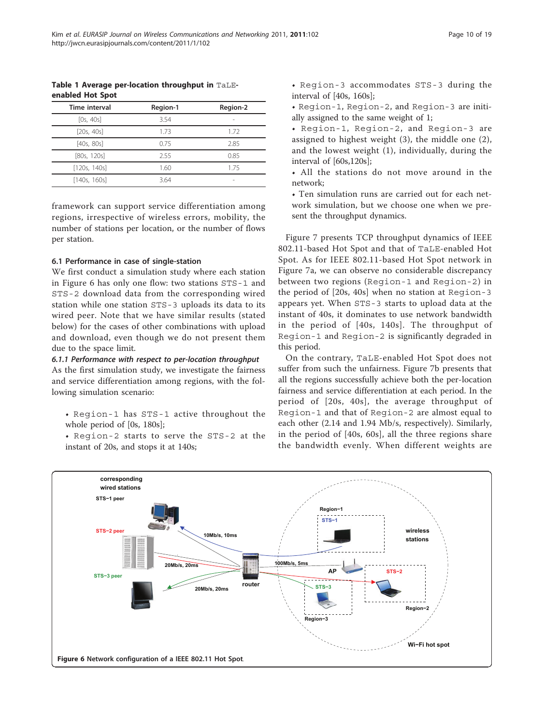| Time interval | Region-1 | Region-2                 |
|---------------|----------|--------------------------|
|               |          |                          |
| [0s, 40s]     | 3.54     | $\overline{\phantom{a}}$ |
| [20s, 40s]    | 1.73     | 1.72                     |
| [40s, 80s]    | 0.75     | 2.85                     |
| [80s, 120s]   | 2.55     | 0.85                     |
| [120s, 140s]  | 1.60     | 1.75                     |
| [140s, 160s]  | 3.64     | $\overline{\phantom{a}}$ |

<span id="page-9-0"></span>Table 1 Average per-location throughput in TaLEenabled Hot Spot

framework can support service differentiation among regions, irrespective of wireless errors, mobility, the number of stations per location, or the number of flows per station.

#### 6.1 Performance in case of single-station

We first conduct a simulation study where each station in Figure 6 has only one flow: two stations STS-1 and STS-2 download data from the corresponding wired station while one station STS-3 uploads its data to its wired peer. Note that we have similar results (stated below) for the cases of other combinations with upload and download, even though we do not present them due to the space limit.

#### 6.1.1 Performance with respect to per-location throughput

As the first simulation study, we investigate the fairness and service differentiation among regions, with the following simulation scenario:

• Region-1 has STS-1 active throughout the whole period of [0s, 180s];

• Region-2 starts to serve the STS-2 at the instant of 20s, and stops it at 140s;

• Region-3 accommodates STS-3 during the interval of [40s, 160s];

• Region-1, Region-2, and Region-3 are initially assigned to the same weight of 1;

• Region-1, Region-2, and Region-3 are assigned to highest weight (3), the middle one (2), and the lowest weight (1), individually, during the interval of [60s,120s];

• All the stations do not move around in the network;

• Ten simulation runs are carried out for each network simulation, but we choose one when we present the throughput dynamics.

Figure [7](#page-10-0) presents TCP throughput dynamics of IEEE 802.11-based Hot Spot and that of TaLE-enabled Hot Spot. As for IEEE 802.11-based Hot Spot network in Figure [7a](#page-10-0), we can observe no considerable discrepancy between two regions (Region-1 and Region-2) in the period of [20s, 40s] when no station at Region-3 appears yet. When STS-3 starts to upload data at the instant of 40s, it dominates to use network bandwidth in the period of [40s, 140s]. The throughput of Region-1 and Region-2 is significantly degraded in this period.

On the contrary, TaLE-enabled Hot Spot does not suffer from such the unfairness. Figure [7b](#page-10-0) presents that all the regions successfully achieve both the per-location fairness and service differentiation at each period. In the period of [20s, 40s], the average throughput of Region-1 and that of Region-2 are almost equal to each other (2.14 and 1.94 Mb/s, respectively). Similarly, in the period of [40s, 60s], all the three regions share the bandwidth evenly. When different weights are

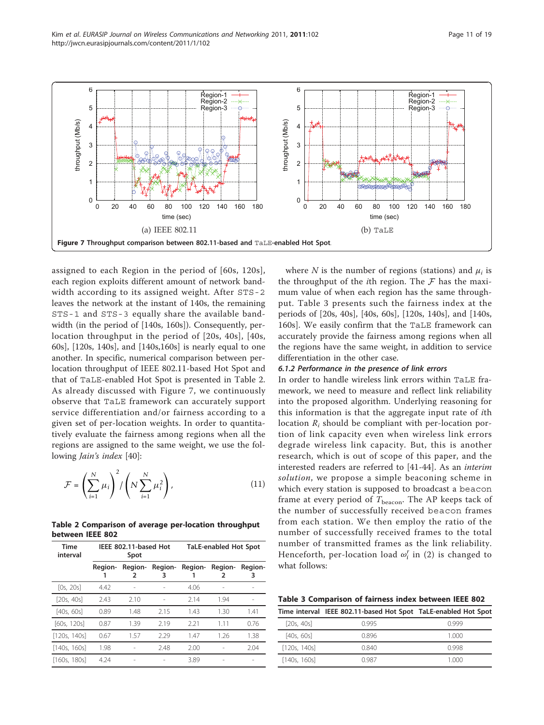<span id="page-10-0"></span>

assigned to each Region in the period of [60s, 120s], each region exploits different amount of network bandwidth according to its assigned weight. After STS-2 leaves the network at the instant of 140s, the remaining STS-1 and STS-3 equally share the available bandwidth (in the period of [140s, 160s]). Consequently, perlocation throughput in the period of [20s, 40s], [40s, 60s], [120s, 140s], and [140s,160s] is nearly equal to one another. In specific, numerical comparison between perlocation throughput of IEEE 802.11-based Hot Spot and that of TaLE-enabled Hot Spot is presented in Table 2. As already discussed with Figure 7, we continuously observe that TaLE framework can accurately support service differentiation and/or fairness according to a given set of per-location weights. In order to quantitatively evaluate the fairness among regions when all the regions are assigned to the same weight, we use the following *Jain's index* [\[40](#page-18-0)]:

$$
\mathcal{F} = \left(\sum_{i=1}^{N} \mu_i\right)^2 / \left(N \sum_{i=1}^{N} \mu_i^2\right),\tag{11}
$$

Table 2 Comparison of average per-location throughput between IEEE 802

| IEEE 802.11-based Hot<br>Time<br>interval<br>Spot |         | TaLE-enabled Hot Spot |              |         |              |              |
|---------------------------------------------------|---------|-----------------------|--------------|---------|--------------|--------------|
|                                                   | Region- | Region-<br>2          | Region-<br>з | Region- | Region-<br>2 | Region-<br>з |
| [0s, 20s]                                         | 4.42    |                       |              | 4.06    |              |              |
| [20s, 40s]                                        | 2.43    | 2.10                  |              | 2.14    | 1.94         |              |
| [40s, 60s]                                        | 0.89    | 1.48                  | 2.15         | 1.43    | 1.30         | 1.41         |
| [60s, 120s]                                       | 0.87    | 1.39                  | 2.19         | 2.21    | 1.11         | 0.76         |
| [120s, 140s]                                      | 0.67    | 1.57                  | 2.29         | 1.47    | 1.26         | 1.38         |
| [140s, 160s]                                      | 1.98    |                       | 2.48         | 2.00    |              | 2.04         |
| [160s. 180s]                                      | 4.24    |                       |              | 3.89    |              |              |

where N is the number of regions (stations) and  $\mu_i$  is the throughput of the *i*th region. The  $F$  has the maximum value of when each region has the same throughput. Table 3 presents such the fairness index at the periods of [20s, 40s], [40s, 60s], [120s, 140s], and [140s, 160s]. We easily confirm that the TaLE framework can accurately provide the fairness among regions when all the regions have the same weight, in addition to service differentiation in the other case.

# 6.1.2 Performance in the presence of link errors

In order to handle wireless link errors within TaLE framework, we need to measure and reflect link reliability into the proposed algorithm. Underlying reasoning for this information is that the aggregate input rate of ith location  $R_i$  should be compliant with per-location portion of link capacity even when wireless link errors degrade wireless link capacity. But, this is another research, which is out of scope of this paper, and the interested readers are referred to [[41-44](#page-18-0)]. As an interim solution, we propose a simple beaconing scheme in which every station is supposed to broadcast a beacon frame at every period of  $T_{\text{beacon}}$ . The AP keeps tack of the number of successfully received beacon frames from each station. We then employ the ratio of the number of successfully received frames to the total number of transmitted frames as the link reliability. Henceforth, per-location load  $\omega_i^r$  in (2) is changed to what follows:

Table 3 Comparison of fairness index between IEEE 802

|              | Time interval IEEE 802.11-based Hot Spot TaLE-enabled Hot Spot |       |
|--------------|----------------------------------------------------------------|-------|
| [20s, 40s]   | 0995                                                           | 0999  |
| [40s, 60s]   | 0.896                                                          | 1.000 |
| [120s. 140s] | 0.840                                                          | 0.998 |
| [140s, 160s] | 0.987                                                          | 1.000 |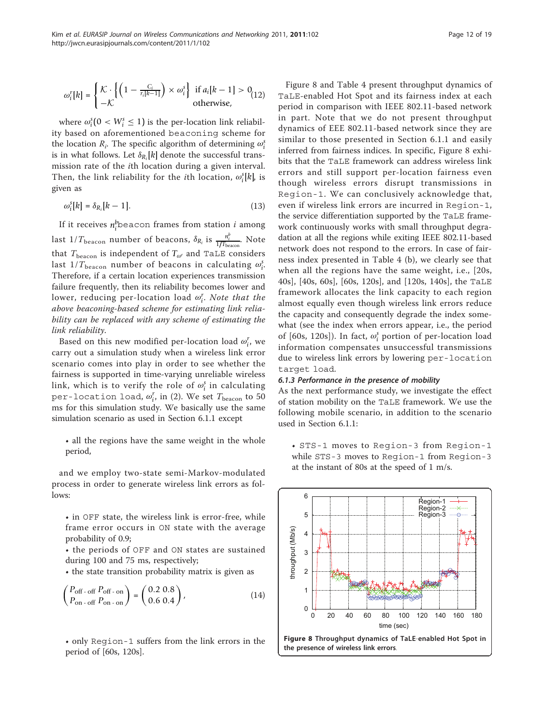$$
\omega_i^r[k] = \begin{cases} \mathcal{K} \cdot \left\{ \left( 1 - \frac{C_i}{r_i[k-1]} \right) \times \omega_i^s \right\} & \text{if } a_i[k-1] > 0\\ -\mathcal{K} & \text{otherwise,} \end{cases}
$$

where  $\omega_i^s(0 < W_i^s \leq 1)$  is the per-location link reliability based on aforementioned beaconing scheme for the location  $R_i$ . The specific algorithm of determining  $\omega_i^s$ is in what follows. Let  $\delta_{R_i}[k]$  denote the successful transmission rate of the ith location during a given interval. Then, the link reliability for the *i*th location,  $\omega_i^s[k]$ , is given as

$$
\omega_i^s[k] = \delta_{R_i}[k-1]. \tag{13}
$$

If it receives  $n_i^{b}$ beacon frames from station  $i$  among last  $1/T_{\text{beacon}}$  number of beacons,  $\delta_{R_i}$  is  $\frac{n_i^b}{1/T_{\text{beacon}}}$ . Note that  $T_{\text{beacon}}$  is independent of  $T_{\omega^r}$  and TaLE considers last  $1/T_{\text{beacon}}$  number of beacons in calculating  $\omega_i^s$ . Therefore, if a certain location experiences transmission failure frequently, then its reliability becomes lower and lower, reducing per-location load ω*<sup>r</sup> <sup>i</sup>* . Note that the above beaconing-based scheme for estimating link reliability can be replaced with any scheme of estimating the link reliability.

Based on this new modified per-location load  $\omega_i^r$ , we carry out a simulation study when a wireless link error scenario comes into play in order to see whether the fairness is supported in time-varying unreliable wireless link, which is to verify the role of  $\omega_i^s$  in calculating  $\texttt{per-location load}, \, \omega^r_i, \, \text{in (2). We set } T_\texttt{beacon} \text{ to } 50$ ms for this simulation study. We basically use the same simulation scenario as used in Section 6.1.1 except

• all the regions have the same weight in the whole period,

and we employ two-state semi-Markov-modulated process in order to generate wireless link errors as follows:

• in OFF state, the wireless link is error-free, while frame error occurs in ON state with the average probability of 0.9;

• the periods of OFF and ON states are sustained during 100 and 75 ms, respectively;

• the state transition probability matrix is given as

$$
\begin{pmatrix}\nP_{\text{off}} \cdot \text{off} \cdot \text{On} \\
P_{\text{on}} \cdot \text{off} \cdot \text{On} \cdot \text{on}\n\end{pmatrix} =\n\begin{pmatrix}\n0.2 & 0.8 \\
0.6 & 0.4\n\end{pmatrix},
$$
\n(14)

• only Region-1 suffers from the link errors in the period of [60s, 120s].

Figure 8 and Table [4](#page-12-0) present throughput dynamics of TaLE-enabled Hot Spot and its fairness index at each period in comparison with IEEE 802.11-based network in part. Note that we do not present throughput dynamics of EEE 802.11-based network since they are similar to those presented in Section 6.1.1 and easily inferred from fairness indices. In specific, Figure 8 exhibits that the TaLE framework can address wireless link errors and still support per-location fairness even though wireless errors disrupt transmissions in Region-1. We can conclusively acknowledge that, even if wireless link errors are incurred in Region-1, the service differentiation supported by the TaLE framework continuously works with small throughput degradation at all the regions while exiting IEEE 802.11-based network does not respond to the errors. In case of fairness index presented in Table [4](#page-12-0) (b), we clearly see that when all the regions have the same weight, i.e., [20s, 40s], [40s, 60s], [60s, 120s], and [120s, 140s], the TaLE framework allocates the link capacity to each region almost equally even though wireless link errors reduce the capacity and consequently degrade the index somewhat (see the index when errors appear, i.e., the period of [60s, 120s]). In fact, ω*<sup>s</sup> <sup>i</sup>* portion of per-location load information compensates unsuccessful transmissions due to wireless link errors by lowering per-location target load.

# 6.1.3 Performance in the presence of mobility

As the next performance study, we investigate the effect of station mobility on the TaLE framework. We use the following mobile scenario, in addition to the scenario used in Section 6.1.1:

• STS-1 moves to Region-3 from Region-1 while STS-3 moves to Region-1 from Region-3 at the instant of 80s at the speed of 1 m/s.

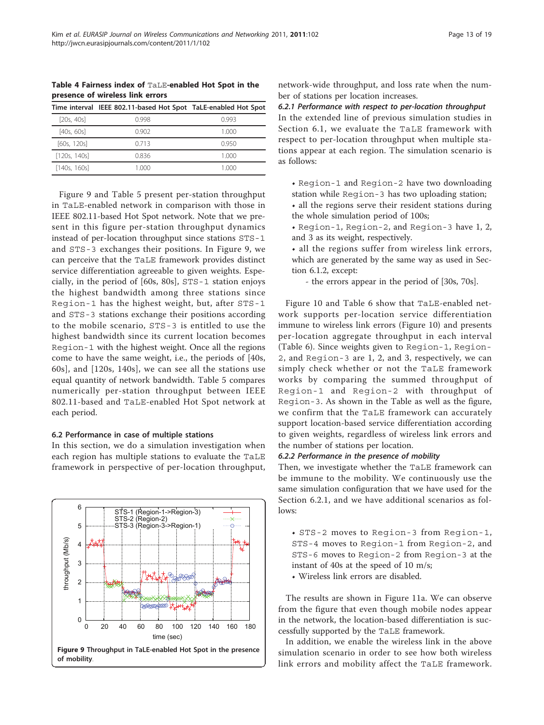|              | Time interval IEEE 802.11-based Hot Spot TaLE-enabled Hot Spot |       |
|--------------|----------------------------------------------------------------|-------|
| [20s, 40s]   | በ 998                                                          | 0.993 |
| [40s, 60s]   | N 902                                                          | 1.000 |
| [60s, 120s]  | 0.713                                                          | O 950 |
| [120s. 140s] | 0836                                                           | 1.000 |
| [140s, 160s] | 1.000                                                          | 1.000 |

<span id="page-12-0"></span>Table 4 Fairness index of TaLE-enabled Hot Spot in the presence of wireless link errors

Figure 9 and Table [5](#page-13-0) present per-station throughput in TaLE-enabled network in comparison with those in IEEE 802.11-based Hot Spot network. Note that we present in this figure per-station throughput dynamics instead of per-location throughput since stations STS-1 and STS-3 exchanges their positions. In Figure 9, we can perceive that the TaLE framework provides distinct service differentiation agreeable to given weights. Especially, in the period of [60s, 80s], STS-1 station enjoys the highest bandwidth among three stations since Region-1 has the highest weight, but, after STS-1 and STS-3 stations exchange their positions according to the mobile scenario, STS-3 is entitled to use the highest bandwidth since its current location becomes Region-1 with the highest weight. Once all the regions come to have the same weight, i.e., the periods of [40s, 60s], and [120s, 140s], we can see all the stations use equal quantity of network bandwidth. Table [5](#page-13-0) compares numerically per-station throughput between IEEE 802.11-based and TaLE-enabled Hot Spot network at each period.

#### 6.2 Performance in case of multiple stations

In this section, we do a simulation investigation when each region has multiple stations to evaluate the TaLE framework in perspective of per-location throughput,



network-wide throughput, and loss rate when the number of stations per location increases.

#### 6.2.1 Performance with respect to per-location throughput

In the extended line of previous simulation studies in Section 6.1, we evaluate the TaLE framework with respect to per-location throughput when multiple stations appear at each region. The simulation scenario is as follows:

• Region-1 and Region-2 have two downloading station while Region-3 has two uploading station; • all the regions serve their resident stations during

the whole simulation period of 100s;

• Region-1, Region-2, and Region-3 have 1, 2, and 3 as its weight, respectively.

• all the regions suffer from wireless link errors, which are generated by the same way as used in Section 6.1.2, except:

- the errors appear in the period of [30s, 70s].

Figure [10](#page-13-0) and Table [6](#page-13-0) show that TaLE-enabled network supports per-location service differentiation immune to wireless link errors (Figure [10](#page-13-0)) and presents per-location aggregate throughput in each interval (Table [6](#page-13-0)). Since weights given to Region-1, Region-2, and Region-3 are 1, 2, and 3, respectively, we can simply check whether or not the TaLE framework works by comparing the summed throughput of Region-1 and Region-2 with throughput of Region-3. As shown in the Table as well as the figure, we confirm that the TaLE framework can accurately support location-based service differentiation according to given weights, regardless of wireless link errors and the number of stations per location.

#### 6.2.2 Performance in the presence of mobility

Then, we investigate whether the TaLE framework can be immune to the mobility. We continuously use the same simulation configuration that we have used for the Section 6.2.1, and we have additional scenarios as follows:

• STS-2 moves to Region-3 from Region-1, STS-4 moves to Region-1 from Region-2, and STS-6 moves to Region-2 from Region-3 at the instant of 40s at the speed of 10 m/s;

• Wireless link errors are disabled.

The results are shown in Figure [11a.](#page-14-0) We can observe from the figure that even though mobile nodes appear in the network, the location-based differentiation is successfully supported by the TaLE framework.

In addition, we enable the wireless link in the above simulation scenario in order to see how both wireless link errors and mobility affect the TaLE framework.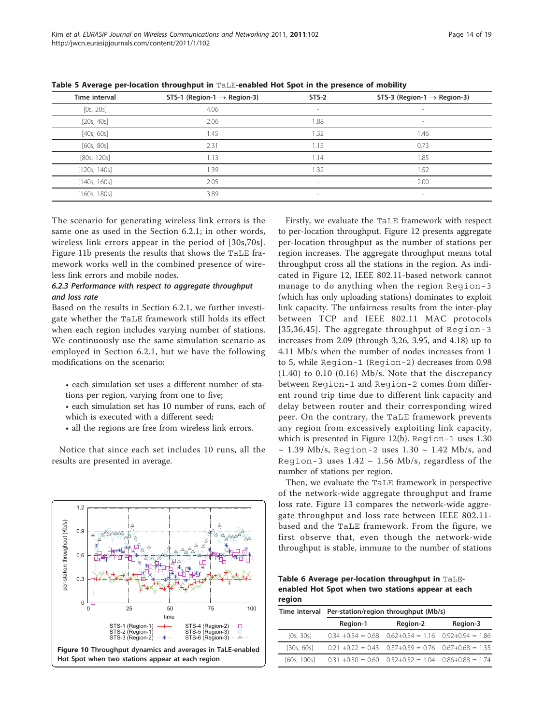| Time interval | STS-1 (Region-1 $\rightarrow$ Region-3) | $STS-2$                  | STS-3 (Region-1 $\rightarrow$ Region-3) |
|---------------|-----------------------------------------|--------------------------|-----------------------------------------|
| [0s, 20s]     | 4.06                                    | $\overline{\phantom{a}}$ | $\overline{\phantom{a}}$                |
| [20s, 40s]    | 2.06                                    | 88.1                     | $\overline{\phantom{a}}$                |
| [40s, 60s]    | 1.45                                    | i.32                     | 1.46                                    |
| [60s, 80s]    | 2.31                                    | 1.15                     | 0.73                                    |
| [80s, 120s]   | 1.13                                    | 1.14                     | 1.85                                    |
| [120s, 140s]  | 1.39                                    | .32                      | 1.52                                    |
| [140s, 160s]  | 2.05                                    | $\overline{\phantom{a}}$ | 2.00                                    |
| [160s, 180s]  | 3.89                                    | $\overline{\phantom{a}}$ | $\overline{\phantom{a}}$                |

<span id="page-13-0"></span>Table 5 Average per-location throughput in TaLE-enabled Hot Spot in the presence of mobility

The scenario for generating wireless link errors is the same one as used in the Section 6.2.1; in other words, wireless link errors appear in the period of [30s,70s]. Figure [11b](#page-14-0) presents the results that shows the TaLE framework works well in the combined presence of wireless link errors and mobile nodes.

# 6.2.3 Performance with respect to aggregate throughput and loss rate

Based on the results in Section 6.2.1, we further investigate whether the TaLE framework still holds its effect when each region includes varying number of stations. We continuously use the same simulation scenario as employed in Section 6.2.1, but we have the following modifications on the scenario:

- each simulation set uses a different number of stations per region, varying from one to five;
- each simulation set has 10 number of runs, each of which is executed with a different seed;
- all the regions are free from wireless link errors.

Notice that since each set includes 10 runs, all the results are presented in average.



Firstly, we evaluate the TaLE framework with respect to per-location throughput. Figure [12](#page-14-0) presents aggregate per-location throughput as the number of stations per region increases. The aggregate throughput means total throughput cross all the stations in the region. As indicated in Figure [12,](#page-14-0) IEEE 802.11-based network cannot manage to do anything when the region Region-3 (which has only uploading stations) dominates to exploit link capacity. The unfairness results from the inter-play between TCP and IEEE 802.11 MAC protocols [[35,36](#page-18-0),[45](#page-18-0)]. The aggregate throughput of Region-3 increases from 2.09 (through 3,26, 3.95, and 4.18) up to 4.11 Mb/s when the number of nodes increases from 1 to 5, while Region-1 (Region-2) decreases from 0.98 (1.40) to 0.10 (0.16) Mb/s. Note that the discrepancy between Region-1 and Region-2 comes from different round trip time due to different link capacity and delay between router and their corresponding wired peer. On the contrary, the TaLE framework prevents any region from excessively exploiting link capacity, which is presented in Figure [12\(b\)](#page-14-0). Region-1 uses 1.30  $\sim$  1.39 Mb/s, Region-2 uses 1.30  $\sim$  1.42 Mb/s, and Region-3 uses  $1.42 \sim 1.56$  Mb/s, regardless of the number of stations per region.

Then, we evaluate the TaLE framework in perspective of the network-wide aggregate throughput and frame loss rate. Figure [13](#page-15-0) compares the network-wide aggregate throughput and loss rate between IEEE 802.11 based and the TaLE framework. From the figure, we first observe that, even though the network-wide throughput is stable, immune to the number of stations

Table 6 Average per-location throughput in TaLEenabled Hot Spot when two stations appear at each region

|             | Time interval Per-station/region throughput (Mb/s)             |          |          |  |
|-------------|----------------------------------------------------------------|----------|----------|--|
|             | Region-1                                                       | Region-2 | Region-3 |  |
| [0s, 30s]   | $0.34 + 0.34 = 0.68$ $0.62 + 0.54 = 1.16$ $0.92 + 0.94 = 1.86$ |          |          |  |
| [30s, 60s]  | $0.21 + 0.22 = 0.43$ $0.37 + 0.39 = 0.76$ $0.67 + 0.68 = 1.35$ |          |          |  |
| [60s, 100s] | $0.31 + 0.30 = 0.60$ $0.52 + 0.52 = 1.04$ $0.86 + 0.88 = 1.74$ |          |          |  |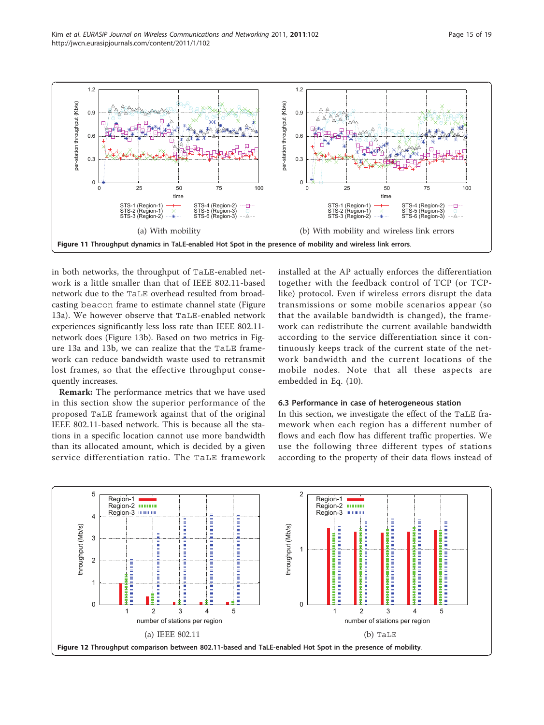0 25 50 75 100

STS-4 (Region-2) STS-5 (Region-3) STS-6 (Region-3)

Figure 11 Throughput dynamics in TaLE-enabled Hot Spot in the presence of mobility and wireless link errors.

Ð

 $\ldots \overline{\Lambda} \ldots$ 

time

'\*−

STS-1 (Region-1) STS-2 (Region-1) STS-3 (Region-2)



0

(a) With mobility (b) With mobility and wireless link errors

in both networks, the throughput of TaLE-enabled network is a little smaller than that of IEEE 802.11-based network due to the TaLE overhead resulted from broadcasting beacon frame to estimate channel state (Figure [13a](#page-15-0)). We however observe that TaLE-enabled network experiences significantly less loss rate than IEEE 802.11 network does (Figure [13b](#page-15-0)). Based on two metrics in Figure [13a](#page-15-0) and [13b](#page-15-0), we can realize that the TaLE framework can reduce bandwidth waste used to retransmit lost frames, so that the effective throughput consequently increases.

 $\Omega$ 

 $0.3$ 

0.6

per-station throughput (Kb/s)

per-station throughput (Kb/s)

 $0.9$ 

<span id="page-14-0"></span>1.2

Remark: The performance metrics that we have used in this section show the superior performance of the proposed TaLE framework against that of the original IEEE 802.11-based network. This is because all the stations in a specific location cannot use more bandwidth than its allocated amount, which is decided by a given service differentiation ratio. The TaLE framework installed at the AP actually enforces the differentiation together with the feedback control of TCP (or TCPlike) protocol. Even if wireless errors disrupt the data transmissions or some mobile scenarios appear (so that the available bandwidth is changed), the framework can redistribute the current available bandwidth according to the service differentiation since it continuously keeps track of the current state of the network bandwidth and the current locations of the mobile nodes. Note that all these aspects are embedded in Eq. (10).

0 25 50 75 100

STS-4 (Region-2) STS-5 (Region-3) STS-6 (Region-3)

Ē

time

-≫

STS-1 (Region-1) STS-2 (Region-1) STS-3 (Region-2)

#### 6.3 Performance in case of heterogeneous station

In this section, we investigate the effect of the TaLE framework when each region has a different number of flows and each flow has different traffic properties. We use the following three different types of stations according to the property of their data flows instead of

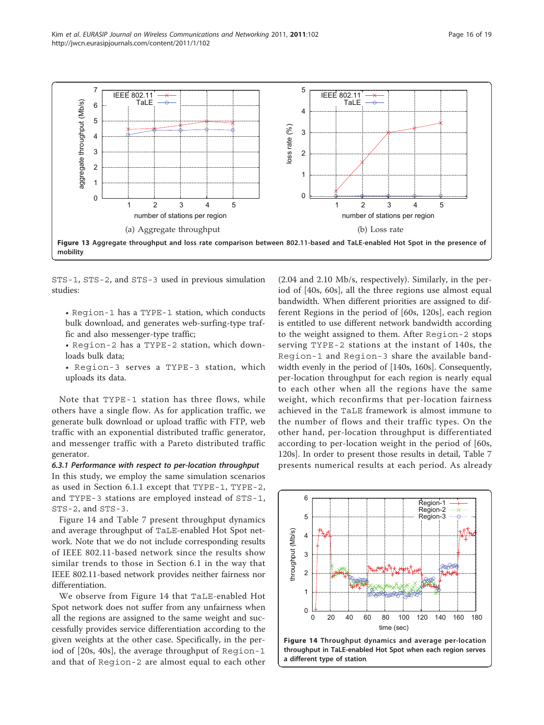<span id="page-15-0"></span>

STS-1, STS-2, and STS-3 used in previous simulation studies:

• Region-1 has a TYPE-1 station, which conducts bulk download, and generates web-surfing-type traffic and also messenger-type traffic;

• Region-2 has a TYPE-2 station, which downloads bulk data;

• Region-3 serves a TYPE-3 station, which uploads its data.

Note that TYPE-1 station has three flows, while others have a single flow. As for application traffic, we generate bulk download or upload traffic with FTP, web traffic with an exponential distributed traffic generator, and messenger traffic with a Pareto distributed traffic generator.

#### 6.3.1 Performance with respect to per-location throughput

In this study, we employ the same simulation scenarios as used in Section 6.1.1 except that TYPE-1, TYPE-2, and TYPE-3 stations are employed instead of STS-1, STS-2, and STS-3.

Figure 14 and Table [7](#page-16-0) present throughput dynamics and average throughput of TaLE-enabled Hot Spot network. Note that we do not include corresponding results of IEEE 802.11-based network since the results show similar trends to those in Section 6.1 in the way that IEEE 802.11-based network provides neither fairness nor differentiation.

We observe from Figure 14 that TaLE-enabled Hot Spot network does not suffer from any unfairness when all the regions are assigned to the same weight and successfully provides service differentiation according to the given weights at the other case. Specifically, in the period of [20s, 40s], the average throughput of Region-1 and that of Region-2 are almost equal to each other

(2.04 and 2.10 Mb/s, respectively). Similarly, in the period of [40s, 60s], all the three regions use almost equal bandwidth. When different priorities are assigned to different Regions in the period of [60s, 120s], each region is entitled to use different network bandwidth according to the weight assigned to them. After Region-2 stops serving TYPE-2 stations at the instant of 140s, the Region-1 and Region-3 share the available bandwidth evenly in the period of [140s, 160s]. Consequently, per-location throughput for each region is nearly equal to each other when all the regions have the same weight, which reconfirms that per-location fairness achieved in the TaLE framework is almost immune to the number of flows and their traffic types. On the other hand, per-location throughput is differentiated according to per-location weight in the period of [60s, 120s]. In order to present those results in detail, Table [7](#page-16-0) presents numerical results at each period. As already



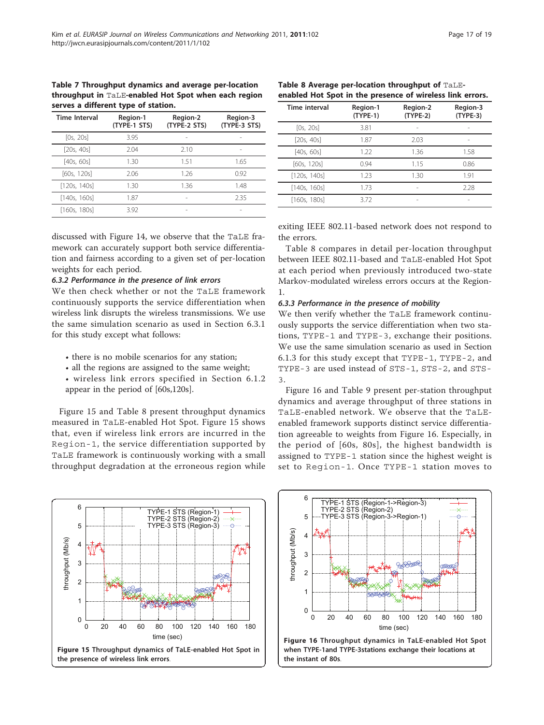<span id="page-16-0"></span>Table 7 Throughput dynamics and average per-location throughput in TaLE-enabled Hot Spot when each region serves a different type of station.

| <b>Time Interval</b> | Region-1<br>(TYPE-1 STS) | Region-2<br>(TYPE-2 STS) | Region-3<br>(TYPE-3 STS) |
|----------------------|--------------------------|--------------------------|--------------------------|
| [0s, 20s]            | 3.95                     |                          |                          |
| [20s, 40s]           | 2.04                     | 2.10                     |                          |
| [40s, 60s]           | 1.30                     | 151                      | 1.65                     |
| [60s, 120s]          | 2.06                     | 1.26                     | 0.92                     |
| [120s, 140s]         | 1.30                     | 1.36                     | 1.48                     |
| [140s, 160s]         | 1.87                     | ۰                        | 2.35                     |
| [160s, 180s]         | 3.92                     |                          |                          |

discussed with Figure [14](#page-15-0), we observe that the TaLE framework can accurately support both service differentiation and fairness according to a given set of per-location weights for each period.

#### 6.3.2 Performance in the presence of link errors

We then check whether or not the TaLE framework continuously supports the service differentiation when wireless link disrupts the wireless transmissions. We use the same simulation scenario as used in Section 6.3.1 for this study except what follows:

- there is no mobile scenarios for any station;
- all the regions are assigned to the same weight;
- wireless link errors specified in Section 6.1.2 appear in the period of [60s,120s].

Figure 15 and Table 8 present throughput dynamics measured in TaLE-enabled Hot Spot. Figure 15 shows that, even if wireless link errors are incurred in the Region-1, the service differentiation supported by TaLE framework is continuously working with a small throughput degradation at the erroneous region while

Table 8 Average per-location throughput of TaLEenabled Hot Spot in the presence of wireless link errors.

| Time interval | Region-1<br>$(TYPE-1)$ | Region-2<br>$(TYPE-2)$ | Region-3<br>$(TYPE-3)$ |
|---------------|------------------------|------------------------|------------------------|
| [0s, 20s]     | 3.81                   |                        |                        |
| [20s, 40s]    | 1.87                   | 2.03                   |                        |
| [40s, 60s]    | 1.22                   | 1.36                   | 1.58                   |
| [60s, 120s]   | 0.94                   | 1.15                   | 0.86                   |
| [120s, 140s]  | 1.23                   | 1.30                   | 1.91                   |
| [140s, 160s]  | 1.73                   | -                      | 2.28                   |
| [160s, 180s]  | 3.72                   | $\overline{a}$         | $\qquad \qquad$        |

exiting IEEE 802.11-based network does not respond to the errors.

Table 8 compares in detail per-location throughput between IEEE 802.11-based and TaLE-enabled Hot Spot at each period when previously introduced two-state Markov-modulated wireless errors occurs at the Region-1.

# 6.3.3 Performance in the presence of mobility

We then verify whether the TaLE framework continuously supports the service differentiation when two stations, TYPE-1 and TYPE-3, exchange their positions. We use the same simulation scenario as used in Section 6.1.3 for this study except that TYPE-1, TYPE-2, and TYPE-3 are used instead of STS-1, STS-2, and STS-3.

Figure 16 and Table [9](#page-17-0) present per-station throughput dynamics and average throughput of three stations in TaLE-enabled network. We observe that the TaLEenabled framework supports distinct service differentiation agreeable to weights from Figure 16. Especially, in the period of [60s, 80s], the highest bandwidth is assigned to TYPE-1 station since the highest weight is set to Region-1. Once TYPE-1 station moves to

6 TYPE-1 STS (Region-1) TYPE-2 STS (Region-2) TYPE-3 STS (Region-3) 5 c. hroughput (Mb/s) throughput (Mb/s) 4 3 2 1  $\Omega$  0 20 40 60 80 100 120 140 160 180 time (sec) Figure 15 Throughput dynamics of TaLE-enabled Hot Spot in the presence of wireless link errors.

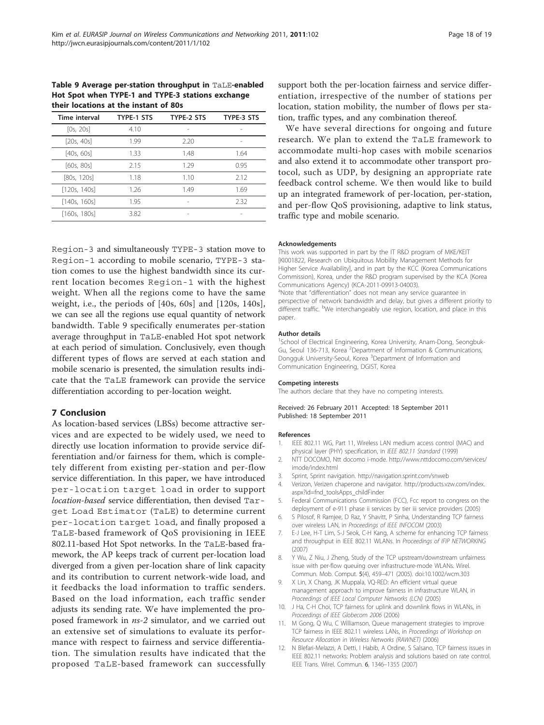#### <span id="page-17-0"></span>Table 9 Average per-station throughput in TaLE-enabled Hot Spot when TYPE-1 and TYPE-3 stations exchange their locations at the instant of 80s

| Time interval | <b>TYPE-1 STS</b> | TYPE-2 STS               | TYPE-3 STS |
|---------------|-------------------|--------------------------|------------|
| [0s, 20s]     | 4.10              |                          | -          |
| [20s, 40s]    | 1.99              | 2.20                     |            |
| [40s, 60s]    | 1.33              | 1.48                     | 1.64       |
| [60s, 80s]    | 2.15              | 1.29                     | 0.95       |
| [80s, 120s]   | 1.18              | 1.10                     | 2.12       |
| [120s, 140s]  | 1.26              | 1.49                     | 1.69       |
| [140s, 160s]  | 1.95              | -                        | 2.32       |
| [160s, 180s]  | 3.82              | $\overline{\phantom{a}}$ | -          |

Region-3 and simultaneously TYPE-3 station move to Region-1 according to mobile scenario, TYPE-3 station comes to use the highest bandwidth since its current location becomes Region-1 with the highest weight. When all the regions come to have the same weight, i.e., the periods of [40s, 60s] and [120s, 140s], we can see all the regions use equal quantity of network bandwidth. Table 9 specifically enumerates per-station average throughput in TaLE-enabled Hot spot network at each period of simulation. Conclusively, even though different types of flows are served at each station and mobile scenario is presented, the simulation results indicate that the TaLE framework can provide the service differentiation according to per-location weight.

### 7 Conclusion

As location-based services (LBSs) become attractive services and are expected to be widely used, we need to directly use location information to provide service differentiation and/or fairness for them, which is completely different from existing per-station and per-flow service differentiation. In this paper, we have introduced per-location target load in order to support location-based service differentiation, then devised Target Load Estimator (TaLE) to determine current per-location target load, and finally proposed a TaLE-based framework of QoS provisioning in IEEE 802.11-based Hot Spot networks. In the TaLE-based framework, the AP keeps track of current per-location load diverged from a given per-location share of link capacity and its contribution to current network-wide load, and it feedbacks the load information to traffic senders. Based on the load information, each traffic sender adjusts its sending rate. We have implemented the proposed framework in ns-2 simulator, and we carried out an extensive set of simulations to evaluate its performance with respect to fairness and service differentiation. The simulation results have indicated that the proposed TaLE-based framework can successfully

support both the per-location fairness and service differentiation, irrespective of the number of stations per location, station mobility, the number of flows per station, traffic types, and any combination thereof.

We have several directions for ongoing and future research. We plan to extend the TaLE framework to accommodate multi-hop cases with mobile scenarios and also extend it to accommodate other transport protocol, such as UDP, by designing an appropriate rate feedback control scheme. We then would like to build up an integrated framework of per-location, per-station, and per-flow QoS provisioning, adaptive to link status, traffic type and mobile scenario.

#### Acknowledgements

This work was supported in part by the IT R&D program of MKE/KEIT [KI001822, Research on Ubiquitous Mobility Management Methods for Higher Service Availability], and in part by the KCC (Korea Communications Commission), Korea, under the R&D program supervised by the KCA (Korea Communications Agency) (KCA-2011-09913-04003). aNote that "differentiation" does not mean any service guarantee in perspective of network bandwidth and delay, but gives a different priority to different traffic. <sup>b</sup>We interchangeably use region, location, and place in this paper.

#### Author details

<sup>1</sup>School of Electrical Engineering, Korea University, Anam-Dong, Seongbuk-Gu, Seoul 136-713, Korea <sup>2</sup>Department of Information & Communications Dongguk University-Seoul, Korea<sup>3</sup>Department of Information and Communication Engineering, DGIST, Korea

#### Competing interests

The authors declare that they have no competing interests.

#### Received: 26 February 2011 Accepted: 18 September 2011 Published: 18 September 2011

#### References

- 1. IEEE 802.11 WG, Part 11, Wireless LAN medium access control (MAC) and physical layer (PHY) specification, in IEEE 802.11 Standard (1999)
- 2. NTT DOCOMO, Ntt docomo i-mode. [http://www.nttdocomo.com/services/](http://www.nttdocomo.com/services/imode/index.html) [imode/index.html](http://www.nttdocomo.com/services/imode/index.html)
- 3. Sprint, Sprint navigation.<http://navigation.sprint.com/snweb>
- 4. Verizon, Verizen chaperone and navigator. [http://products.vzw.com/index.](http://products.vzw.com/index.aspx?id=fnd_toolsApps_childFinder) [aspx?id=fnd\\_toolsApps\\_childFinder](http://products.vzw.com/index.aspx?id=fnd_toolsApps_childFinder)
- 5. Federal Communications Commission (FCC), Fcc report to congress on the deployment of e-911 phase ii services by tier iii service providers (2005)
- 6. S Pilosof, R Ramjee, D Raz, Y Shavitt, P Sinha, Understanding TCP fairness over wireless LAN, in Proceedings of IEEE INFOCOM (2003)
- 7. E-J Lee, H-T Lim, S-J Seok, C-H Kang, A scheme for enhancing TCP fairness and throughput in IEEE 802.11 WLANs. In Proceedings of IFIP NETWORKING (2007)
- 8. Y Wu, Z Niu, J Zheng, Study of the TCP upstream/downstream unfairness issue with per-flow queuing over infrastructure-mode WLANs. Wirel. Commun. Mob. Comput. 5(4), 459–471 (2005). doi:10.1002/wcm.303
- 9. X Lin, X Chang, JK Muppala, VQ-RED: An efficient virtual queue management approach to improve fairness in infrastructure WLAN, in Proceedings of IEEE Local Computer Networks (LCN) (2005)
- 10. J Ha, C-H Choi, TCP fairness for uplink and downlink flows in WLANs, in Proceedings of IEEE Globecom 2006 (2006)
- 11. M Gong, Q Wu, C Williamson, Queue management strategies to improve TCP fairness in IEEE 802.11 wireless LANs, in Proceedings of Workshop on Resource Allocation in Wireless Networks (RAWNET) (2006)
- 12. N Blefari-Melazzi, A Detti, I Habib, A Ordine, S Salsano, TCP fairness issues in IEEE 802.11 networks: Problem analysis and solutions based on rate control. IEEE Trans. Wirel. Commun. 6, 1346–1355 (2007)